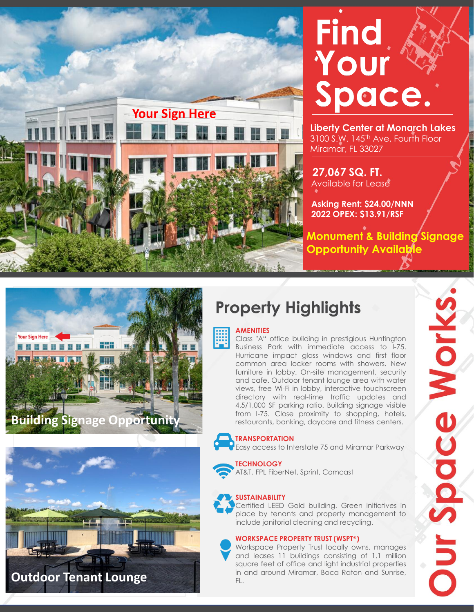



**Liberty Center at Monarch Lakes** 3100 S.W. 145<sup>th</sup> Ave, Fourth Floor Miramar, FL 33027

**27,067 SQ. FT.** Available for Lease

**Asking Rent: \$24.00/NNN 2022 OPEX: \$13.91/RSF**

**Monument & Building Signage Opportunity Available**





## **Property Highlights**



### **AMENITIES**

Class "A" office building in prestigious Huntington Business Park with immediate access to I-75. Hurricane impact glass windows and first floor common area locker rooms with showers. New furniture in lobby. On-site management, security and cafe. Outdoor tenant lounge area with water views, free Wi-Fi in lobby, interactive touchscreen directory with real-time traffic updates and 4.5/1,000 SF parking ratio. Building signage visible from I-75. Close proximity to shopping, hotels, restaurants, banking, daycare and fitness centers.

#### **TRANSPORTATION**

Easy access to Interstate 75 and Miramar Parkway

#### **TECHNOLOGY**

AT&T, FPL FiberNet, Sprint, Comcast

### **SUSTAINABILITY**

Certified LEED Gold building. Green initiatives in place by tenants and property management to include janitorial cleaning and recycling.

#### **WORKSPACE PROPERTY TRUST (WSPT**®**)**

Workspace Property Trust locally owns, manages and leases 11 buildings consisting of 1.1 million square feet of office and light industrial properties in and around Miramar, Boca Raton and Sunrise, FL.

**Dur Space Works**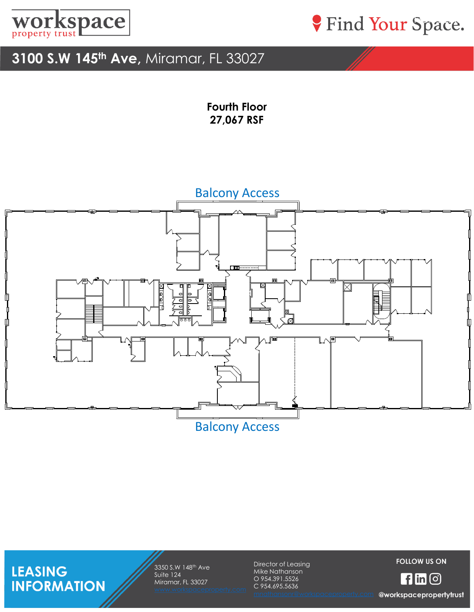



### **3100 S.W 145th Ave,** Miramar, FL 33027

**Fourth Floor 27,067 RSF**

### Balcony Access



Balcony Access

**LEASING<br>INFORMATION** 

3350 S.W 148th Ave Suite 124 Miramar, FL 33027

Director of Leasing Mike Nathanson O 954.391.5526 C 954.695.5636

**FOLLOW US ON** 

 $H$ in $\odot$ 

@workspacepropertytrust